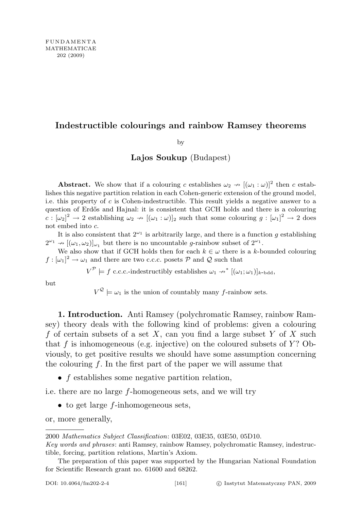## Indestructible colourings and rainbow Ramsey theorems

by

## Lajos Soukup (Budapest)

**Abstract.** We show that if a colouring c establishes  $\omega_2 \rightarrow [(\omega_1 : \omega)]^2$  then c establishes this negative partition relation in each Cohen-generic extension of the ground model, i.e. this property of c is Cohen-indestructible. This result yields a negative answer to a question of Erdős and Hajnal: it is consistent that GCH holds and there is a colouring  $c : [\omega_2]^2 \to 2$  establishing  $\omega_2 \to [(\omega_1 : \omega)]_2$  such that some colouring  $g : [\omega_1]^2 \to 2$  does not embed into c.

It is also consistent that  $2^{\omega_1}$  is arbitrarily large, and there is a function g establishing  $2^{\omega_1} \rightarrow [(\omega_1, \omega_2)]_{\omega_1}$  but there is no uncountable *g*-rainbow subset of  $2^{\omega_1}$ .

We also show that if GCH holds then for each  $k \in \omega$  there is a k-bounded colouring  $f : [\omega_1]^2 \to \omega_1$  and there are two c.c.c. posets  $P$  and  $Q$  such that

 $V^{\mathcal{P}} \models f \text{ c.c.c.-indestructibly establishes } \omega_1 \rightarrow^* [(\omega_1; \omega_1)]_{k-\text{bdd}},$ 

but

 $V^{\mathcal{Q}} \models \omega_1$  is the union of countably many f-rainbow sets.

1. Introduction. Anti Ramsey (polychromatic Ramsey, rainbow Ramsey) theory deals with the following kind of problems: given a colouring f of certain subsets of a set X, can you find a large subset Y of X such that  $f$  is inhomogeneous (e.g. injective) on the coloured subsets of  $Y$ ? Obviously, to get positive results we should have some assumption concerning the colouring  $f$ . In the first part of the paper we will assume that

• f establishes some negative partition relation,

i.e. there are no large f-homogeneous sets, and we will try

 $\bullet$  to get large f-inhomogeneous sets,

or, more generally,

<sup>2000</sup> Mathematics Subject Classification: 03E02, 03E35, 03E50, 05D10.

Key words and phrases: anti Ramsey, rainbow Ramsey, polychromatic Ramsey, indestructible, forcing, partition relations, Martin's Axiom.

The preparation of this paper was supported by the Hungarian National Foundation for Scientific Research grant no. 61600 and 68262.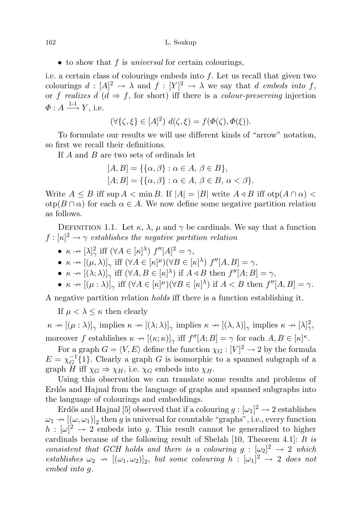```
162 L. Soukup
```
 $\bullet$  to show that f is universal for certain colourings,

i.e. a certain class of colourings embeds into  $f$ . Let us recall that given two colourings  $d: [A]^2 \to \lambda$  and  $f: [Y]^2 \to \lambda$  we say that d embeds into f, or f realizes d  $(d \Rightarrow f)$ , for short) iff there is a colour-preserving injection  $\varPhi: A \stackrel{1\text{-}1}{\longrightarrow} Y$ , i.e.

$$
(\forall \{\zeta, \xi\} \in [A]^2) \ d(\zeta, \xi) = f(\Phi(\zeta), \Phi(\xi)).
$$

To formulate our results we will use different kinds of "arrow" notation, so first we recall their definitions.

If A and B are two sets of ordinals let

$$
[A, B] = \{\{\alpha, \beta\} : \alpha \in A, \beta \in B\},
$$
  

$$
[A; B] = \{\{\alpha, \beta\} : \alpha \in A, \beta \in B, \alpha < \beta\}.
$$

Write  $A \leq B$  iff sup  $A < \min B$ . If  $|A| = |B|$  write  $A \triangleleft B$  iff otp $(A \cap \alpha)$  $otp(B \cap \alpha)$  for each  $\alpha \in A$ . We now define some negative partition relation as follows.

DEFINITION 1.1. Let  $\kappa$ ,  $\lambda$ ,  $\mu$  and  $\gamma$  be cardinals. We say that a function  $f: [\kappa]^2 \to \gamma$  establishes the negative partition relation

- $\kappa \to [\lambda]_{\gamma}^2$  iff  $(\forall A \in [\kappa]_{\gamma}$ )  $f''[A]_{\gamma}^2 = \gamma$ ,
- $\kappa \to [(\mu, \lambda)]_{\gamma}$  iff  $(\forall A \in [\kappa]^{\mu})(\forall B \in [\kappa]^{\lambda})$   $f''[A, B] = \gamma$ ,
- $\kappa \to [(\lambda; \lambda)]_{\gamma}$  iff  $(\forall A, B \in [\kappa]^{\lambda})$  if  $A \triangleleft B$  then  $f''[A; B] = \gamma$ ,
- $\kappa \to [(\mu : \lambda)]_{\gamma}$  iff  $(\forall A \in [\kappa]^{\mu})(\forall B \in [\kappa]^{\lambda})$  if  $A < B$  then  $f''[A, B] = \gamma$ .

A negative partition relation holds iff there is a function establishing it.

If  $\mu < \lambda \leq \kappa$  then clearly

 $\kappa \to [(\mu : \lambda)]_{\gamma}$  implies  $\kappa \to [(\lambda; \lambda)]_{\gamma}$  implies  $\kappa \to [(\lambda, \lambda)]_{\gamma}$  implies  $\kappa \to [\lambda]_{\gamma}^2$ , moreover f establishes  $\kappa \to [(\kappa; \kappa)]_{\gamma}$  iff  $f''[A; B] = \gamma$  for each  $A, B \in [\kappa]^{\kappa}$ .

For a graph  $G = \langle V, E \rangle$  define the function  $\chi_G : [V]^2 \to 2$  by the formula  $E = \chi_G^{-1}$  $_{G}^{-1}\{1\}$ . Clearly a graph G is isomorphic to a spanned subgraph of a graph H iff  $\chi_G \Rightarrow \chi_H$ , i.e.  $\chi_G$  embeds into  $\chi_H$ .

Using this observation we can translate some results and problems of Erdős and Hajnal from the language of graphs and spanned subgraphs into the language of colourings and embeddings.

Erdős and Hajnal [5] observed that if a colouring  $g : [\omega_1]^2 \to 2$  establishes  $\omega_1 \to [(\omega, \omega_1)]_2$  then g is universal for countable "graphs", i.e., every function  $h: [\omega]^2 \to 2$  embeds into g. This result cannot be generalized to higher cardinals because of the following result of Shelah [10, Theorem 4.1]: It is consistent that GCH holds and there is a colouring  $g : [\omega_2]^2 \to 2$  which establishes  $\omega_2 \to [(\omega_1, \omega_2)]_2$ , but some colouring  $h : [\omega_1]^2 \to 2$  does not embed into g.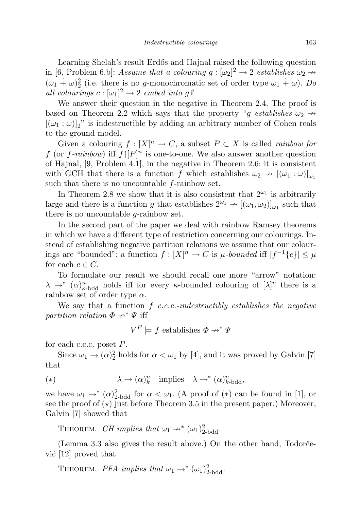Learning Shelah's result Erdős and Hajnal raised the following question in [6, Problem 6.b]: Assume that a colouring  $g : [\omega_2]^2 \to 2$  establishes  $\omega_2 \to$  $(\omega_1 + \omega)_2^2$  (i.e. there is no g-monochromatic set of order type  $\omega_1 + \omega$ ). Do all colourings  $c : [\omega_1]^2 \to 2$  embed into g?

We answer their question in the negative in Theorem 2.4. The proof is based on Theorem 2.2 which says that the property "g establishes  $\omega_2 \rightarrow$  $[(\omega_1 : \omega)]_2$ " is indestructible by adding an arbitrary number of Cohen reals to the ground model.

Given a colouring  $f : [X]^n \to C$ , a subset  $P \subset X$  is called *rainbow for* f (or f-rainbow) if  $f|[P]^n$  is one-to-one. We also answer another question of Hajnal, [9, Problem 4.1], in the negative in Theorem 2.6: it is consistent with GCH that there is a function f which establishes  $\omega_2 \rightarrow [(\omega_1 : \omega)]_{\omega_1}$ such that there is no uncountable f-rainbow set.

In Theorem 2.8 we show that it is also consistent that  $2^{\omega_1}$  is arbitrarily large and there is a function g that establishes  $2^{\omega_1} \rightarrow [(\omega_1, \omega_2)]_{\omega_1}$  such that there is no uncountable g-rainbow set.

In the second part of the paper we deal with rainbow Ramsey theorems in which we have a different type of restriction concerning our colourings. Instead of establishing negative partition relations we assume that our colourings are "bounded": a function  $f: [X]^n \to C$  is  $\mu$ -bounded iff  $|f^{-1}{c}| \leq \mu$ for each  $c \in C$ .

To formulate our result we should recall one more "arrow" notation:  $\lambda \to^* (\alpha)_{\kappa \text{-bdd}}^n$  holds iff for every  $\kappa$ -bounded colouring of  $[\lambda]^n$  there is a rainbow set of order type  $\alpha$ .

We say that a function  $f$  c.c.c.-indestructibly establishes the negative partition relation  $\Phi \rightarrow^* \Psi$  iff

$$
V^P \models f \text{ establishes } \Phi \nrightarrow^* \Psi
$$

for each c.c.c. poset P.

Since  $\omega_1 \to (\alpha)_2^2$  holds for  $\alpha < \omega_1$  by [4], and it was proved by Galvin [7] that

(\*) 
$$
\lambda \to (\alpha)^n_k
$$
 implies  $\lambda \to^* (\alpha)^n_{k-\text{bdd}}$ ,

we have  $\omega_1 \rightarrow^* (\alpha)_{2-\text{bdd}}^2$  for  $\alpha < \omega_1$ . (A proof of  $(*)$  can be found in [1], or see the proof of  $(\star)$  just before Theorem 3.5 in the present paper.) Moreover, Galvin [7] showed that

THEOREM. CH implies that  $\omega_1 \rightarrow^* (\omega_1)^2_{2 \text{bdd}}$ .

(Lemma 3.3 also gives the result above.) On the other hand, Todorcević  $|12|$  proved that

THEOREM. PFA implies that  $\omega_1 \rightarrow^* (\omega_1)^2_{2-\text{bdd}}$ .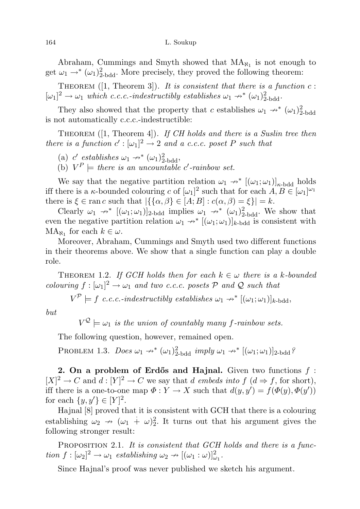Abraham, Cummings and Smyth showed that  $MA_{N_1}$  is not enough to get  $\omega_1 \rightarrow^* (\omega_1)_{2-\text{bdd}}^2$ . More precisely, they proved the following theorem:

THEOREM ([1, Theorem 3]). It is consistent that there is a function  $c$ :  $[\omega_1]^2 \to \omega_1$  which c.c.c.-indestructibly establishes  $\omega_1 \nrightarrow^* (\omega_1)^2$ <sub>bdd</sub>.

They also showed that the property that c establishes  $\omega_1 \rightarrow^* (\omega_1)_{2-\text{bdd}}^2$ is not automatically c.c.c.-indestructible:

THEOREM  $(1,$  Theorem 4]). If CH holds and there is a Suslin tree then there is a function  $c': [\omega_1]^2 \to 2$  and a c.c.c. poset P such that

- (a)  $c'$  establishes  $\omega_1 \nrightarrow^* (\omega_1)^2_{2-bdd}$ ,
- (b)  $V^P$   $\models$  there is an uncountable c'-rainbow set.

We say that the negative partition relation  $\omega_1 \rightarrow^* [(\omega_1; \omega_1)]_{\kappa \text{-bdd}}$  holds iff there is a  $\kappa$ -bounded colouring c of  $[\omega_1]^2$  such that for each  $A, B \in [\omega_1]^{\omega_1}$ there is  $\xi \in \text{ran } c$  such that  $|\{\{\alpha, \beta\} \in [A; B] : c(\alpha, \beta) = \xi\}| = k$ .

Clearly  $\omega_1 \rightarrow^* [(\omega_1; \omega_1)]_{2-bdd}$  implies  $\omega_1 \rightarrow^* (\omega_1)^2_{2-bdd}$ . We show that even the negative partition relation  $\omega_1 \rightarrow^* [(\omega_1; \omega_1)]_{k-bd}$  is consistent with  $MA_{\aleph_1}$  for each  $k \in \omega$ .

Moreover, Abraham, Cummings and Smyth used two different functions in their theorems above. We show that a single function can play a double role.

THEOREM 1.2. If GCH holds then for each  $k \in \omega$  there is a k-bounded colouring  $f : [\omega_1]^2 \to \omega_1$  and two c.c.c. posets  $P$  and  $Q$  such that

 $V^{\mathcal{P}} \models f \ c.c.c.\text{-}indextructibly establishes } \omega_1 \nrightarrow^* [(\omega_1; \omega_1)]_{k\text{-bdd}},$ 

but

 $V^{\mathcal{Q}} \models \omega_1$  is the union of countably many f-rainbow sets.

The following question, however, remained open.

PROBLEM 1.3. Does  $\omega_1 \nrightarrow^* (\omega_1)^2_{2-\text{bdd}}$  imply  $\omega_1 \nrightarrow^* [(\omega_1; \omega_1)]_{2-\text{bdd}}$ ?

2. On a problem of Erdős and Hajnal. Given two functions  $f$ :  $[X]^2 \to C$  and  $d: [Y]^2 \to C$  we say that d embeds into  $f(d \Rightarrow f)$ , for short), iff there is a one-to-one map  $\Phi: Y \to X$  such that  $d(y, y') = f(\Phi(y), \Phi(y'))$ for each  $\{y, y'\} \in [Y]^2$ .

Hajnal [8] proved that it is consistent with GCH that there is a colouring establishing  $\omega_2 \rightarrow (\omega_1 + \omega)_2^2$ . It turns out that his argument gives the following stronger result:

PROPOSITION 2.1. It is consistent that GCH holds and there is a function  $f : [\omega_2]^2 \to \omega_1$  establishing  $\omega_2 \to [(\omega_1 : \omega)]^2_{\omega_1}$ .

Since Hajnal's proof was never published we sketch his argument.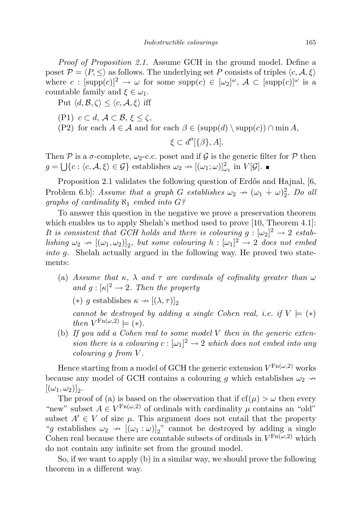Proof of Proposition 2.1. Assume GCH in the ground model. Define a poset  $P = \langle P, \leq \rangle$  as follows. The underlying set P consists of triples  $\langle c, A, \xi \rangle$ where  $c : [\text{supp}(c)]^2 \to \omega$  for some  $\text{supp}(c) \in [\omega_2]^\omega$ ,  $\mathcal{A} \subset [\text{supp}(c)]^\omega$  is a countable family and  $\xi \in \omega_1$ .

Put  $\langle d, \mathcal{B}, \zeta \rangle \leq \langle c, \mathcal{A}, \xi \rangle$  iff

- (P1)  $c \subset d$ ,  $\mathcal{A} \subset \mathcal{B}, \xi \leq \zeta$ ,
- (P2) for each  $A \in \mathcal{A}$  and for each  $\beta \in (\text{supp}(d) \setminus \text{supp}(c)) \cap \min A$ ,

$$
\xi \subset d''[\{\beta\}, A].
$$

Then P is a  $\sigma$ -complete,  $\omega_2$ -c.c. poset and if G is the generic filter for P then  $g = \bigcup \{c : \langle c, \mathcal{A}, \xi \rangle \in \mathcal{G} \}$  establishes  $\omega_2 \to [(\omega_1; \omega)]^2_{\omega_1}$  in  $V[\mathcal{G}]$ .

Proposition 2.1 validates the following question of Erdős and Hajnal, [6, Problem 6.b]: Assume that a graph G establishes  $\omega_2 \rightarrow (\omega_1 + \omega)_2^2$ . Do all graphs of cardinality  $\aleph_1$  embed into  $G$ ?

To answer this question in the negative we prove a preservation theorem which enables us to apply Shelah's method used to prove [10, Theorem 4.1]: It is consistent that GCH holds and there is colouring  $g : [\omega_2]^2 \to 2$  establishing  $\omega_2 \to [(\omega_1, \omega_2)]_2$ , but some colouring  $h : [\omega_1]^2 \to 2$  does not embed into g. Shelah actually argued in the following way. He proved two statements:

- (a) Assume that  $\kappa$ ,  $\lambda$  and  $\tau$  are cardinals of cofinality greater than  $\omega$ and  $g : [\kappa]^2 \to 2$ . Then the property
	- (\*) g establishes  $\kappa \to [(\lambda, \tau)]_2$

cannot be destroyed by adding a single Cohen real, i.e. if  $V \models (*)$ then  $V^{\text{Fn}(\omega,2)} \models (*).$ 

(b) If you add a Cohen real to some model  $V$  then in the generic extension there is a colouring  $c : [\omega_1]^2 \to 2$  which does not embed into any colouring g from V .

Hence starting from a model of GCH the generic extension  $V^{\mathrm{Fn}(\omega,2)}$  works because any model of GCH contains a colouring g which establishes  $\omega_2 \rightarrow$  $[(\omega_1,\omega_2)]_2.$ 

The proof of (a) is based on the observation that if  $cf(\mu) > \omega$  then every "new" subset  $A \in V^{\operatorname{Fn}(\omega,2)}$  of ordinals with cardinality  $\mu$  contains an "old" subset  $A' \in V$  of size  $\mu$ . This argument does not entail that the property "g establishes  $\omega_2 \rightarrow [(\omega_1 : \omega)]_2$ " cannot be destroyed by adding a single Cohen real because there are countable subsets of ordinals in  $V^{\text{Fn}(\omega,2)}$  which do not contain any infinite set from the ground model.

So, if we want to apply (b) in a similar way, we should prove the following theorem in a different way.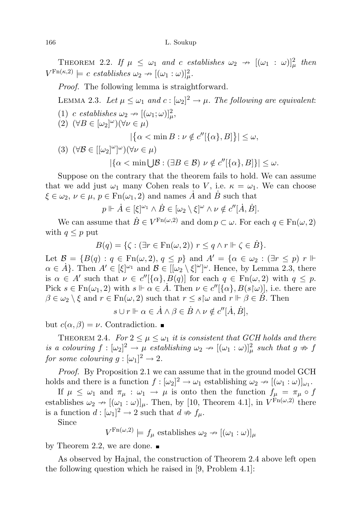THEOREM 2.2. If  $\mu \leq \omega_1$  and c establishes  $\omega_2 \to [(\omega_1 : \omega)]_\mu^2$  then  $V^{\text{Fn}(\kappa,2)} \models c \text{ establishes } \omega_2 \rightarrow [(\omega_1 : \omega)]^2_{\mu}.$ 

Proof. The following lemma is straightforward.

LEMMA 2.3. Let  $\mu \leq \omega_1$  and  $c : [\omega_2]^2 \to \mu$ . The following are equivalent: (1) c establishes  $\omega_2 \rightarrow [(\omega_1; \omega)]_\mu^2$ , (2)  $(\forall B \in [\omega_2]^{\omega})(\forall \nu \in \mu)$  $|\{\alpha < \min B : \nu \notin c''[\{\alpha\}, B]\}| \leq \omega,$ (3)  $(\forall \mathcal{B} \in [[\omega_2]^{\omega}]^{\omega})(\forall \nu \in \mu)$ 

 $|\{\alpha < \min \bigcup \mathcal{B} : (\exists B \in \mathcal{B}) \ \nu \notin c''[\{\alpha\}, B]\}| \leq \omega.$ 

Suppose on the contrary that the theorem fails to hold. We can assume that we add just  $\omega_1$  many Cohen reals to V, i.e.  $\kappa = \omega_1$ . We can choose  $\xi \in \omega_2, \, \nu \in \mu, \, p \in \text{Fn}(\omega_1, 2)$  and names  $\dot{A}$  and  $\dot{B}$  such that

 $p \Vdash \dot{A} \in [\xi]^{\omega_1} \wedge \dot{B} \in [\omega_2 \setminus \xi]^{\omega} \wedge \nu \notin c''[\dot{A}, \dot{B}].$ 

We can assume that  $\dot{B} \in V^{\text{Fn}(\omega, 2)}$  and dom  $p \subset \omega$ . For each  $q \in \text{Fn}(\omega, 2)$ with  $q \leq p$  put

$$
B(q) = \{ \zeta : (\exists r \in \operatorname{Fn}(\omega, 2)) \ r \le q \land r \Vdash \zeta \in \dot{B} \}.
$$

Let  $\mathcal{B} = \{B(q) : q \in \text{Fn}(\omega, 2), q \leq p\}$  and  $A' = \{\alpha \in \omega_2 : (\exists r \leq p) \ r \Vdash$  $\alpha \in \dot{A}$ . Then  $A' \in [\xi]^{\omega_1}$  and  $\mathcal{B} \in [[\omega_2 \setminus \xi]^{\omega_2}]^{\omega}$ . Hence, by Lemma 2.3, there is  $\alpha \in A'$  such that  $\nu \in c''[\{\alpha\}, B(q)]$  for each  $q \in \text{Fn}(\omega, 2)$  with  $q \leq p$ . Pick  $s \in \text{Fn}(\omega_1, 2)$  with  $s \Vdash \alpha \in \mathring{A}$ . Then  $\nu \in c''[\{\alpha\}, B(s|\omega)],$  i.e. there are  $\beta \in \omega_2 \setminus \xi$  and  $r \in \text{Fn}(\omega, 2)$  such that  $r \leq s \sim \text{ind } r \Vdash \beta \in \mathring{B}$ . Then

 $s \cup r \Vdash \alpha \in \dot{A} \wedge \beta \in \dot{B} \wedge \nu \notin c''[\dot{A}, \dot{B}],$ 

but  $c(\alpha, \beta) = \nu$ . Contradiction.

THEOREM 2.4. For  $2 \leq \mu \leq \omega_1$  it is consistent that GCH holds and there is a colouring  $f : [\omega_2]^2 \to \mu$  establishing  $\omega_2 \to [(\omega_1 : \omega)]_\mu^2$  such that  $g \not\Rightarrow f$ for some colouring  $g: [\omega_1]^2 \to 2$ .

Proof. By Proposition 2.1 we can assume that in the ground model GCH holds and there is a function  $f : [\omega_2]^2 \to \omega_1$  establishing  $\omega_2 \to [(\omega_1 : \omega)]_{\omega_1}$ .

If  $\mu \leq \omega_1$  and  $\pi_{\mu} : \omega_1 \to \mu$  is onto then the function  $f_{\mu} = \pi_{\mu} \circ f$ establishes  $\omega_2 \to [(\omega_1 : \omega)]_\mu$ . Then, by [10, Theorem 4.1], in  $V^{\text{Fn}(\omega,2)}$  there is a function  $d: [\omega_1]^2 \to 2$  such that  $d \neq f_\mu$ .

Since

 $V^{\operatorname{Fn}(\omega,2)} \models f_\mu$  establishes  $\omega_2 \nrightarrow [(\omega_1 : \omega)]_\mu$ 

by Theorem 2.2, we are done.  $\blacksquare$ 

As observed by Hajnal, the construction of Theorem 2.4 above left open the following question which he raised in [9, Problem 4.1]: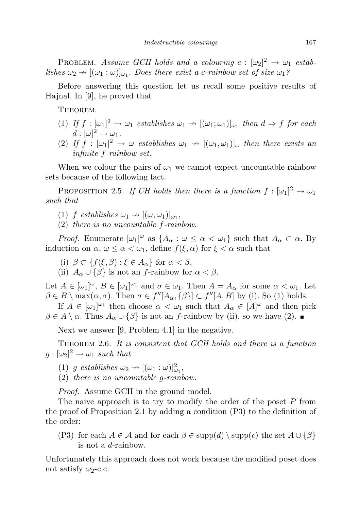PROBLEM. Assume GCH holds and a colouring  $c: [\omega_2]^2 \to \omega_1$  establishes  $\omega_2 \to [(\omega_1 : \omega)]_{\omega_1}$ . Does there exist a c-rainbow set of size  $\omega_1$ ?

Before answering this question let us recall some positive results of Hajnal. In [9], he proved that

Theorem.

- (1) If  $f : [\omega_1]^2 \to \omega_1$  establishes  $\omega_1 \to [(\omega_1; \omega_1)]_{\omega_1}$  then  $d \Rightarrow f$  for each  $d:[\omega]^2\to\omega_1.$
- (2) If  $f : [\omega_1]^2 \to \omega$  establishes  $\omega_1 \to [(\omega_1, \omega_1)]_{\omega}$  then there exists an infinite f-rainbow set.

When we colour the pairs of  $\omega_1$  we cannot expect uncountable rainbow sets because of the following fact.

PROPOSITION 2.5. If CH holds then there is a function  $f : [\omega_1]^2 \to \omega_1$ such that

- (1) f establishes  $\omega_1 \rightarrow [(\omega, \omega_1)]_{\omega_1}$ ,
- (2) there is no uncountable f-rainbow.

*Proof.* Enumerate  $[\omega_1]^\omega$  as  $\{A_\alpha : \omega \leq \alpha < \omega_1\}$  such that  $A_\alpha \subset \alpha$ . By induction on  $\alpha, \omega \leq \alpha < \omega_1$ , define  $f(\xi, \alpha)$  for  $\xi < \alpha$  such that

- (i)  $\beta \subset \{f(\xi,\beta): \xi \in A_{\alpha}\}\$ for  $\alpha < \beta$ ,
- (ii)  $A_{\alpha} \cup {\beta}$  is not an f-rainbow for  $\alpha < \beta$ .

Let  $A \in [\omega_1]^\omega$ ,  $B \in [\omega_1]^\omega$  and  $\sigma \in \omega_1$ . Then  $A = A_\alpha$  for some  $\alpha < \omega_1$ . Let  $\beta \in B \setminus \max(\alpha, \sigma)$ . Then  $\sigma \in f''[A_\alpha, {\{\beta\}}] \subset f''[A, B]$  by (i). So (1) holds.

If  $A \in [\omega_1]^{\omega_1}$  then choose  $\alpha < \omega_1$  such that  $A_\alpha \in [A]^\omega$  and then pick  $\beta \in A \setminus \alpha$ . Thus  $A_{\alpha} \cup {\{\beta\}}$  is not an f-rainbow by (ii), so we have (2).

Next we answer [9, Problem 4.1] in the negative.

THEOREM 2.6. It is consistent that GCH holds and there is a function  $g : [\omega_2]^2 \to \omega_1$  such that

- (1) g establishes  $\omega_2 \rightarrow [(\omega_1 : \omega)]^2_{\omega_1}$ ,
- (2) there is no uncountable g-rainbow.

Proof. Assume GCH in the ground model.

The naive approach is to try to modify the order of the poset P from the proof of Proposition 2.1 by adding a condition (P3) to the definition of the order:

(P3) for each  $A \in \mathcal{A}$  and for each  $\beta \in \text{supp}(d) \setminus \text{supp}(c)$  the set  $A \cup \{\beta\}$ is not a d-rainbow.

Unfortunately this approach does not work because the modified poset does not satisfy  $\omega_2$ -c.c.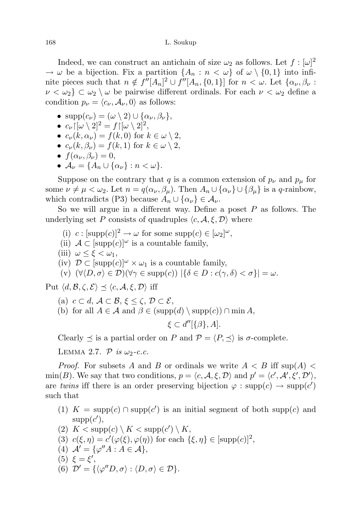Indeed, we can construct an antichain of size  $\omega_2$  as follows. Let  $f : [\omega]^2$  $\rightarrow \omega$  be a bijection. Fix a partition  $\{A_n : n < \omega\}$  of  $\omega \setminus \{0, 1\}$  into infinite pieces such that  $n \notin f''[A_n]^2 \cup f''[A_n, \{0, 1\}]$  for  $n < \omega$ . Let  $\{\alpha_\nu, \beta_\nu :$  $\nu < \omega_2$   $\subset \omega_2 \setminus \omega$  be pairwise different ordinals. For each  $\nu < \omega_2$  define a condition  $p_{\nu} = \langle c_{\nu}, A_{\nu}, 0 \rangle$  as follows:

- $\text{supp}(c_{\nu}) = (\omega \setminus 2) \cup \{\alpha_{\nu}, \beta_{\nu}\},\$
- $c_{\nu} | [\omega \setminus 2]^2 = f | [\omega \setminus 2]^2$ ,
- $c_{\nu}(k, \alpha_{\nu}) = f(k, 0)$  for  $k \in \omega \setminus 2$ ,
- $c_{\nu}(k, \beta_{\nu}) = f(k, 1)$  for  $k \in \omega \setminus 2$ ,
- $f(\alpha_{\nu}, \beta_{\nu}) = 0$ ,
- $\mathcal{A}_{\nu} = \{A_n \cup \{\alpha_{\nu}\} : n < \omega\}.$

Suppose on the contrary that q is a common extension of  $p_{\nu}$  and  $p_{\mu}$  for some  $\nu \neq \mu < \omega_2$ . Let  $n = q(\alpha_{\nu}, \beta_{\mu})$ . Then  $A_n \cup {\alpha_{\nu}} \cup {\beta_{\mu}}$  is a q-rainbow, which contradicts (P3) because  $A_n \cup \{\alpha_\nu\} \in \mathcal{A}_\nu$ .

So we will argue in a different way. Define a poset  $P$  as follows. The underlying set P consists of quadruples  $\langle c, \mathcal{A}, \xi, \mathcal{D} \rangle$  where

- (i)  $c : [\text{supp}(c)]^2 \to \omega$  for some  $\text{supp}(c) \in [\omega_2]^{\omega}$ ,
- (ii)  $A \subset [\text{supp}(c)]^{\omega}$  is a countable family,
- (iii)  $\omega \leq \xi < \omega_1$ ,
- (iv)  $\mathcal{D} \subset [\text{supp}(c)]^{\omega} \times \omega_1$  is a countable family,
- (v)  $(\forall \langle D, \sigma \rangle \in \mathcal{D})(\forall \gamma \in \text{supp}(c)) |\{\delta \in D : c(\gamma, \delta) < \sigma\}| = \omega.$

Put  $\langle d, \mathcal{B}, \zeta, \mathcal{E} \rangle \preceq \langle c, \mathcal{A}, \xi, \mathcal{D} \rangle$  iff

- (a)  $c \subset d$ ,  $\mathcal{A} \subset \mathcal{B}, \xi \leq \zeta, \mathcal{D} \subset \mathcal{E}$ ,
- (b) for all  $A \in \mathcal{A}$  and  $\beta \in (\text{supp}(d) \setminus \text{supp}(c)) \cap \min A$ ,

 $\xi \subset d''[\{\beta\},A].$ 

Clearly  $\preceq$  is a partial order on P and  $\mathcal{P} = \langle P, \preceq \rangle$  is  $\sigma$ -complete.

LEMMA 2.7.  $P$  is  $\omega_2$ -c.c.

*Proof.* For subsets A and B or ordinals we write  $A < B$  iff sup(A) < min(B). We say that two conditions,  $p = \langle c, A, \xi, D \rangle$  and  $p' = \langle c', A', \xi', D' \rangle$ , are twins iff there is an order preserving bijection  $\varphi : \text{supp}(c) \to \text{supp}(c')$ such that

- (1)  $K = \text{supp}(c) \cap \text{supp}(c')$  is an initial segment of both supp(c) and  $supp(c'),$
- (2)  $K < \text{supp}(c) \setminus K < \text{supp}(c') \setminus K$ , (3)  $c(\xi, \eta) = c'(\varphi(\xi), \varphi(\eta))$  for each  $\{\xi, \eta\} \in [\text{supp}(c)]^2$ ,
- (4)  $A' = {\varphi''A : A \in \mathcal{A}}$ ,
- (5)  $\xi = \xi'$ ,
- (6)  $\mathcal{D}' = {\{\langle \varphi''D, \sigma \rangle : \langle D, \sigma \rangle \in \mathcal{D}\}.$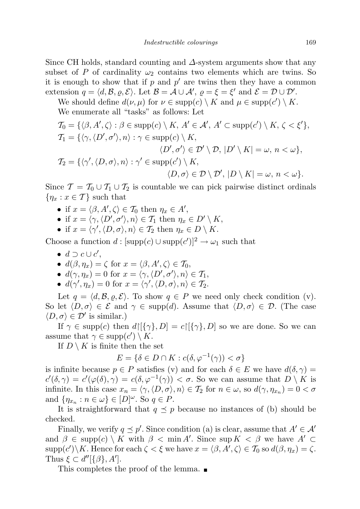Since CH holds, standard counting and  $\Delta$ -system arguments show that any subset of P of cardinality  $\omega_2$  contains two elements which are twins. So it is enough to show that if  $p$  and  $p'$  are twins then they have a common extension  $q = \langle d, \mathcal{B}, \varrho, \mathcal{E} \rangle$ . Let  $\mathcal{B} = \mathcal{A} \cup \mathcal{A}'$ ,  $\varrho = \xi = \xi'$  and  $\mathcal{E} = \mathcal{D} \cup \mathcal{D}'$ .

We should define  $d(\nu, \mu)$  for  $\nu \in \text{supp}(c) \setminus K$  and  $\mu \in \text{supp}(c') \setminus K$ . We enumerate all "tasks" as follows: Let

$$
T_0 = \{ \langle \beta, A', \zeta \rangle : \beta \in \text{supp}(c) \setminus K, A' \in \mathcal{A}', A' \subset \text{supp}(c') \setminus K, \zeta < \xi' \},
$$
  
\n
$$
T_1 = \{ \langle \gamma, \langle D', \sigma' \rangle, n \rangle : \gamma \in \text{supp}(c) \setminus K,
$$
  
\n
$$
\langle D', \sigma' \rangle \in \mathcal{D}' \setminus \mathcal{D}, |D' \setminus K| = \omega, n < \omega \},
$$
  
\n
$$
T_2 = \{ \langle \gamma', \langle D, \sigma \rangle, n \rangle : \gamma' \in \text{supp}(c') \setminus K,
$$
  
\n
$$
\langle D, \sigma \rangle \in \mathcal{D} \setminus \mathcal{D}', |D \setminus K| = \omega, n < \omega \}.
$$

Since  $\mathcal{T} = \mathcal{T}_0 \cup \mathcal{T}_1 \cup \mathcal{T}_2$  is countable we can pick pairwise distinct ordinals  $\{\eta_x : x \in \mathcal{T}\}\$  such that

- if  $x = \langle \beta, A', \zeta \rangle \in \mathcal{T}_0$  then  $\eta_x \in A'$ ,
- if  $x = \langle \gamma, \langle D', \sigma' \rangle, n \rangle \in \mathcal{T}_1$  then  $\eta_x \in D' \setminus K$ ,
- if  $x = \langle \gamma', \langle D, \sigma \rangle, n \rangle \in \mathcal{T}_2$  then  $\eta_x \in D \setminus K$ .

Choose a function  $d : [\text{supp}(c) \cup \text{supp}(c')]^2 \to \omega_1$  such that

- $d \supset c \cup c'$ ,
- $d(\beta, \eta_x) = \zeta$  for  $x = \langle \beta, A', \zeta \rangle \in \mathcal{T}_0$ ,
- $d(\gamma, \eta_x) = 0$  for  $x = \langle \gamma, \langle D', \sigma' \rangle, n \rangle \in \mathcal{T}_1$ ,
- $d(\gamma', \eta_x) = 0$  for  $x = \langle \gamma', \langle D, \sigma \rangle, n \rangle \in \mathcal{T}_2$ .

Let  $q = \langle d, \mathcal{B}, \varrho, \mathcal{E} \rangle$ . To show  $q \in P$  we need only check condition (v). So let  $\langle D, \sigma \rangle \in \mathcal{E}$  and  $\gamma \in \text{supp}(d)$ . Assume that  $\langle D, \sigma \rangle \in \mathcal{D}$ . (The case  $\langle D, \sigma \rangle \in \mathcal{D}'$  is similar.)

If  $\gamma \in \text{supp}(c)$  then  $d\lbrack {\{\gamma\},D]=c{\lbrack {\{\gamma\},D\}}$  so we are done. So we can assume that  $\gamma \in \text{supp}(c') \setminus K$ .

If  $D \setminus K$  is finite then the set

$$
E = \{ \delta \in D \cap K : c(\delta, \varphi^{-1}(\gamma)) < \sigma \}
$$

is infinite because  $p \in P$  satisfies (v) and for each  $\delta \in E$  we have  $d(\delta, \gamma) =$  $c'(\delta, \gamma) = c'(\varphi(\delta), \gamma) = c(\delta, \varphi^{-1}(\gamma)) < \sigma$ . So we can assume that  $D \setminus K$  is infinite. In this case  $x_n = \langle \gamma, \langle D, \sigma \rangle, n \rangle \in \mathcal{T}_2$  for  $n \in \omega$ , so  $d(\gamma, \eta_{x_n}) = 0 < \sigma$ and  $\{\eta_{x_n} : n \in \omega\} \in [D]^\omega$ . So  $q \in P$ .

It is straightforward that  $q \leq p$  because no instances of (b) should be checked.

Finally, we verify  $q \leq p'$ . Since condition (a) is clear, assume that  $A' \in \mathcal{A}'$ and  $\beta \in \text{supp}(c) \setminus K$  with  $\beta < \min A'$ . Since sup  $K < \beta$  we have  $A' \subset$  $\text{supp}(c')\backslash K$ . Hence for each  $\zeta < \xi$  we have  $x = \langle \beta, A', \zeta \rangle \in \mathcal{T}_0$  so  $d(\beta, \eta_x) = \zeta$ . Thus  $\xi \subset d''[\{\beta\}, A']$ .

This completes the proof of the lemma.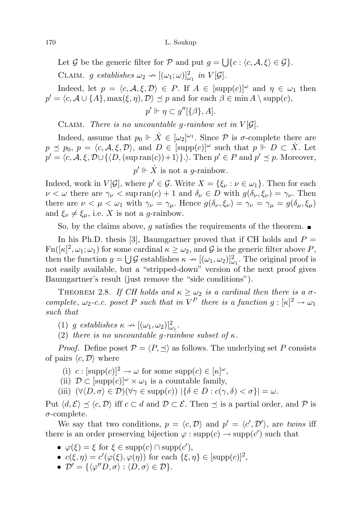Let G be the generic filter for P and put  $g = \bigcup \{c : \langle c, A, \xi \rangle \in \mathcal{G}\}.$ 

CLAIM. g establishes  $\omega_2 \to [(\omega_1; \omega)]_{\omega_1}^2$  in  $V[\mathcal{G}]$ .

Indeed, let  $p = \langle c, \mathcal{A}, \xi, \mathcal{D} \rangle \in P$ . If  $A \in [\text{supp}(c)]^{\omega}$  and  $\eta \in \omega_1$  then  $p' = \langle c, A \cup \{A\}, \max(\xi, \eta), D \rangle \preceq p$  and for each  $\beta \in \min A \setminus \text{supp}(c)$ ,

$$
p' \Vdash \eta \subset g''[\{\beta\}, A].
$$

CLAIM. There is no uncountable g-rainbow set in  $V[\mathcal{G}]$ .

Indeed, assume that  $p_0 \Vdash \dot{X} \in [\omega_2]^{\omega_1}$ . Since  $P$  is  $\sigma$ -complete there are  $p \preceq p_0, p = \langle c, A, \xi, \mathcal{D} \rangle$ , and  $D \in [\text{supp}(c)]^{\omega}$  such that  $p \Vdash D \subset \dot{X}$ . Let  $p' = \langle c, A, \xi, D \cup \{ \langle D, (\text{sup ran}(c)) + 1 \rangle \}. \right)$ . Then  $p' \in P$  and  $p' \preceq p$ . Moreover,  $p' \Vdash \dot{X}$  is not a *g*-rainbow.

Indeed, work in  $V[\mathcal{G}]$ , where  $p' \in \mathcal{G}$ . Write  $X = \{\xi_{\nu} : \nu \in \omega_1\}$ . Then for each  $\nu < \omega$  there are  $\gamma_{\nu} < \sup \text{ran}(c) + 1$  and  $\delta_{\nu} \in D$  with  $g(\delta_{\nu}, \xi_{\nu}) = \gamma_{\nu}$ . Then there are  $\nu < \mu < \omega_1$  with  $\gamma_{\nu} = \gamma_{\mu}$ . Hence  $g(\delta_{\nu}, \xi_{\nu}) = \gamma_{\nu} = \gamma_{\mu} = g(\delta_{\mu}, \xi_{\mu})$ and  $\xi_{\nu} \neq \xi_{\mu}$ , i.e. X is not a g-rainbow.

So, by the claims above, g satisfies the requirements of the theorem.  $\blacksquare$ 

In his Ph.D. thesis [3], Baumgartner proved that if CH holds and  $P =$  $\text{Fn}([\kappa]^2, \omega_1; \omega_1)$  for some cardinal  $\kappa \geq \omega_2$ , and G is the generic filter above P, then the function  $g = \bigcup \mathcal{G}$  establishes  $\kappa \to [(\omega_1, \omega_2)]^2_{\omega_1}$ . The original proof is not easily available, but a "stripped-down" version of the next proof gives Baumgartner's result (just remove the "side conditions").

THEOREM 2.8. If CH holds and  $\kappa \geq \omega_2$  is a cardinal then there is a  $\sigma$ complete,  $\omega_2$ -c.c. poset P such that in  $V^P$  there is a function  $g : [\kappa]^2 \to \omega_1$ such that

(1) g establishes  $\kappa \to [(\omega_1, \omega_2)]^2_{\omega_1}$ .

(2) there is no uncountable q-rainbow subset of  $\kappa$ .

*Proof.* Define poset  $P = \langle P, \preceq \rangle$  as follows. The underlying set P consists of pairs  $\langle c, \mathcal{D} \rangle$  where

- (i)  $c : [\text{supp}(c)]^2 \to \omega$  for some  $\text{supp}(c) \in [\kappa]^{\omega}$ ,
- (ii)  $\mathcal{D} \subset [\text{supp}(c)]^{\omega} \times \omega_1$  is a countable family,

(iii)  $(\forall \langle D, \sigma \rangle \in \mathcal{D})(\forall \gamma \in \text{supp}(c)) |\{\delta \in D : c(\gamma, \delta) < \sigma\}| = \omega.$ 

Put  $\langle d, \mathcal{E} \rangle \prec \langle c, \mathcal{D} \rangle$  iff  $c \subset d$  and  $\mathcal{D} \subset \mathcal{E}$ . Then  $\prec$  is a partial order, and  $\mathcal{P}$  is  $\sigma$ -complete.

We say that two conditions,  $p = \langle c, \mathcal{D} \rangle$  and  $p' = \langle c', \mathcal{D}' \rangle$ , are twins iff there is an order preserving bijection  $\varphi : \text{supp}(c) \to \text{supp}(c')$  such that

- $\varphi(\xi) = \xi$  for  $\xi \in \text{supp}(c) \cap \text{supp}(c'),$
- $c(\xi, \eta) = c'(\varphi(\xi), \varphi(\eta))$  for each  $\{\xi, \eta\} \in [\text{supp}(c)]^2$ ,
- $\mathcal{D}' = {\{\langle \varphi''D, \sigma \rangle : \langle D, \sigma \rangle \in \mathcal{D}\}.$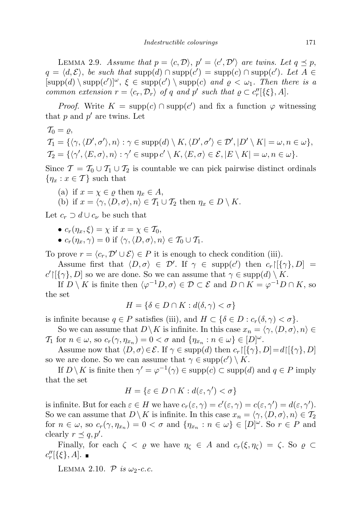LEMMA 2.9. Assume that  $p = \langle c, \mathcal{D} \rangle$ ,  $p' = \langle c', \mathcal{D}' \rangle$  are twins. Let  $q \leq p$ ,  $q = \langle d, \mathcal{E} \rangle$ , be such that  $\text{supp}(d) \cap \text{supp}(c') = \text{supp}(c) \cap \text{supp}(c')$ . Let  $A \in$  $[supp(d) \setminus supp(c')]^\omega$ ,  $\xi \in supp(c') \setminus supp(c)$  and  $\varrho < \omega_1$ . Then there is a common extension  $r = \langle c_r, \mathcal{D}_r \rangle$  of q and p' such that  $\varrho \subset c''_r[\{\xi\}, A]$ .

*Proof.* Write  $K = \text{supp}(c) \cap \text{supp}(c')$  and fix a function  $\varphi$  witnessing that  $p$  and  $p'$  are twins. Let

$$
T_0 = \varrho,
$$
  
\n
$$
T_1 = \{ \langle \gamma, \langle D', \sigma' \rangle, n \rangle : \gamma \in \text{supp}(d) \setminus K, \langle D', \sigma' \rangle \in \mathcal{D}', |D' \setminus K| = \omega, n \in \omega \},
$$
  
\n
$$
T_2 = \{ \langle \gamma', \langle E, \sigma \rangle, n \rangle : \gamma' \in \text{supp} \, c' \setminus K, \langle E, \sigma \rangle \in \mathcal{E}, |E \setminus K| = \omega, n \in \omega \}.
$$

Since  $\mathcal{T} = \mathcal{T}_0 \cup \mathcal{T}_1 \cup \mathcal{T}_2$  is countable we can pick pairwise distinct ordinals  $\{\eta_x : x \in \mathcal{T}\}\$  such that

(a) if 
$$
x = \chi \in \varrho
$$
 then  $\eta_x \in A$ ,

(b) if  $x = \langle \gamma, \langle D, \sigma \rangle, n \rangle \in \mathcal{T}_1 \cup \mathcal{T}_2$  then  $\eta_x \in D \setminus K$ .

Let  $c_r \supset d \cup c_\nu$  be such that

- $c_r(\eta_r, \xi) = \chi$  if  $x = \chi \in \mathcal{T}_0$ ,
- $c_r(\eta_x, \gamma) = 0$  if  $\langle \gamma, \langle D, \sigma \rangle, n \rangle \in \mathcal{T}_0 \cup \mathcal{T}_1$ .

To prove  $r = \langle c_r, \mathcal{D}' \cup \mathcal{E} \rangle \in P$  it is enough to check condition (iii).

Assume first that  $\langle D, \sigma \rangle \in \mathcal{D}'$ . If  $\gamma \in \text{supp}(c')$  then  $c_r[[\{\gamma\}, D] =$  $c'[[\{\gamma\}, D]$  so we are done. So we can assume that  $\gamma \in \text{supp}(d) \setminus K$ .

If  $D \setminus K$  is finite then  $\langle \varphi^{-1}D, \sigma \rangle \in \mathcal{D} \subset \mathcal{E}$  and  $D \cap K = \varphi^{-1}D \cap K$ , so the set

$$
H = \{ \delta \in D \cap K : d(\delta, \gamma) < \sigma \}
$$

is infinite because  $q \in P$  satisfies (iii), and  $H \subset \{ \delta \in D : c_r(\delta, \gamma) < \sigma \}.$ 

So we can assume that  $D\setminus K$  is infinite. In this case  $x_n = \langle \gamma, \langle D, \sigma \rangle, n \rangle \in$ T<sub>1</sub> for  $n \in \omega$ , so  $c_r(\gamma, \eta_{x_n}) = 0 < \sigma$  and  $\{\eta_{x_n} : n \in \omega\} \in [D]^\omega$ .

Assume now that  $\langle D, \sigma \rangle \in \mathcal{E}$ . If  $\gamma \in \text{supp}(d)$  then  $c_r\left[\{\gamma\}, D\right]=d\left[\{\gamma\}, D\right]$ so we are done. So we can assume that  $\gamma \in \text{supp}(c') \setminus K$ .

If  $D \setminus K$  is finite then  $\gamma' = \varphi^{-1}(\gamma) \in \text{supp}(c) \subset \text{supp}(d)$  and  $q \in P$  imply that the set

$$
H = \{ \varepsilon \in D \cap K : d(\varepsilon, \gamma') < \sigma \}
$$

is infinite. But for each  $\varepsilon \in H$  we have  $c_r(\varepsilon, \gamma) = c'(\varepsilon, \gamma) = c(\varepsilon, \gamma') = d(\varepsilon, \gamma').$ So we can assume that  $D \setminus K$  is infinite. In this case  $x_n = \langle \gamma, \langle D, \sigma \rangle, n \rangle \in T_2$ for  $n \in \omega$ , so  $c_r(\gamma, \eta_{x_n}) = 0 < \sigma$  and  $\{\eta_{x_n} : n \in \omega\} \in [D]^\omega$ . So  $r \in P$  and clearly  $r \preceq q, p'.$ 

Finally, for each  $\zeta < \varrho$  we have  $\eta_{\zeta} \in A$  and  $c_r(\xi, \eta_{\zeta}) = \zeta$ . So  $\varrho \subset \zeta$  $c_r''[\{\xi\},A].$ 

LEMMA 2.10.  $\mathcal{P}$  is  $\omega_2$ -c.c.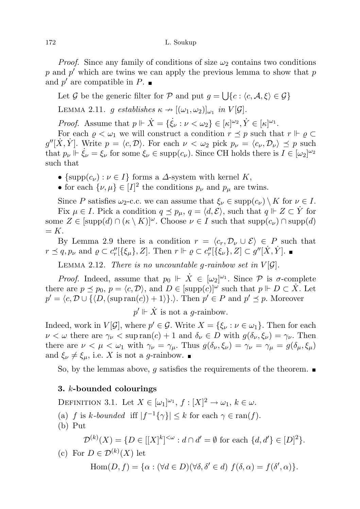*Proof.* Since any family of conditions of size  $\omega_2$  contains two conditions  $p$  and  $p'$  which are twins we can apply the previous lemma to show that  $p$ and  $p'$  are compatible in  $P$ .

Let G be the generic filter for P and put  $g = \bigcup \{c : \langle c, \mathcal{A}, \xi \rangle \in \mathcal{G}\}\$ 

LEMMA 2.11. g establishes  $\kappa \to [(\omega_1, \omega_2)]_{\omega_1}$  in  $V[\mathcal{G}]$ .

*Proof.* Assume that  $p \Vdash \dot{X} = \{\dot{\xi}_{\nu} : \nu < \omega_2\} \in [\kappa]^{\omega_2}, \dot{Y} \in [\kappa]^{\omega_1}$ .

For each  $\rho < \omega_1$  we will construct a condition  $r \preceq p$  such that  $r \Vdash \rho \subset \mathbb{R}$  $g''[\dot{X}, \dot{Y}]$ . Write  $p = \langle c, \mathcal{D} \rangle$ . For each  $\nu < \omega_2$  pick  $p_{\nu} = \langle c_{\nu}, \mathcal{D}_{\nu} \rangle \preceq p$  such that  $p_{\nu} \Vdash \dot{\xi}_{\nu} = \xi_{\nu}$  for some  $\xi_{\nu} \in \text{supp}(c_{\nu})$ . Since CH holds there is  $I \in [\omega_2]^{\omega_2}$ such that

- {supp $(c_{\nu}): \nu \in I$ } forms a  $\Delta$ -system with kernel K,
- for each  $\{\nu,\mu\} \in [I]^2$  the conditions  $p_{\nu}$  and  $p_{\mu}$  are twins.

Since P satisfies  $\omega_2$ -c.c. we can assume that  $\xi_\nu \in \text{supp}(c_\nu) \setminus K$  for  $\nu \in I$ . Fix  $\mu \in I$ . Pick a condition  $q \leq p_{\mu}$ ,  $q = \langle d, \mathcal{E} \rangle$ , such that  $q \Vdash Z \subset \dot{Y}$  for some  $Z \in [\text{supp}(d) \cap (\kappa \setminus K)]^{\omega}$ . Choose  $\nu \in I$  such that  $\text{supp}(c_{\nu}) \cap \text{supp}(d)$  $= K.$ 

By Lemma 2.9 there is a condition  $r = \langle c_r, \mathcal{D}_\nu \cup \mathcal{E} \rangle \in P$  such that  $r \leq q, p_{\nu} \text{ and } \varrho \subset c''_{r}[\{\xi_{\mu}\}, Z]$ . Then  $r \Vdash \varrho \subset c''_{r}[\{\xi_{\nu}\}, Z] \subset g''[\dot{X}, \dot{Y}]$ .

LEMMA 2.12. There is no uncountable q-rainbow set in  $V[\mathcal{G}]$ .

*Proof.* Indeed, assume that  $p_0 \Vdash \dot{X} \in [\omega_2]^{\omega_1}$ . Since  $P$  is  $\sigma$ -complete there are  $p \leq p_0, p = \langle c, \mathcal{D} \rangle$ , and  $D \in [\text{supp}(c)]^{\omega}$  such that  $p \Vdash D \subset \dot{X}$ . Let  $p' = \langle c, \mathcal{D} \cup \{ \langle D, (\text{sup ran}(c)) + 1 \rangle \}. \rangle$ . Then  $p' \in P$  and  $p' \preceq p$ . Moreover

 $p' \Vdash \dot{X}$  is not a g-rainbow.

Indeed, work in  $V[\mathcal{G}]$ , where  $p' \in \mathcal{G}$ . Write  $X = \{\xi_{\nu} : \nu \in \omega_1\}$ . Then for each  $\nu < \omega$  there are  $\gamma_{\nu} < \sup \text{ran}(c) + 1$  and  $\delta_{\nu} \in D$  with  $g(\delta_{\nu}, \xi_{\nu}) = \gamma_{\nu}$ . Then there are  $\nu < \mu < \omega_1$  with  $\gamma_{\nu} = \gamma_{\mu}$ . Thus  $g(\delta_{\nu}, \xi_{\nu}) = \gamma_{\nu} = \gamma_{\mu} = g(\delta_{\mu}, \xi_{\mu})$ and  $\xi_{\nu} \neq \xi_{\mu}$ , i.e. X is not a g-rainbow.

So, by the lemmas above, g satisfies the requirements of the theorem.  $\blacksquare$ 

## 3. k-bounded colourings

DEFINITION 3.1. Let  $X \in [\omega_1]^{\omega_1}$ ,  $f : [X]^2 \to \omega_1$ ,  $k \in \omega$ . (a) f is k-bounded iff  $|f^{-1}\{\gamma\}| \leq k$  for each  $\gamma \in \text{ran}(f)$ . (b) Put  $\mathcal{D}^{(k)}(X) = \{D \in |[X]^k|^{<\omega} : d \cap d' = \emptyset \text{ for each } \{d, d'\} \in [D]^2\}.$ (c) For  $D \in \mathcal{D}^{(k)}(X)$  let

Hom
$$
(D, f)
$$
 = { $\alpha : (\forall d \in D)(\forall \delta, \delta' \in d)$   $f(\delta, \alpha) = f(\delta', \alpha)$  }.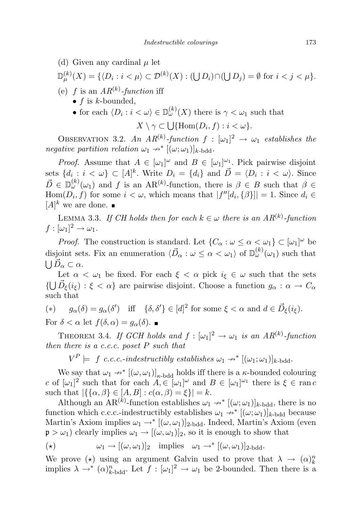(d) Given any cardinal  $\mu$  let

$$
\mathbb{D}_{\mu}^{(k)}(X) = \{ \langle D_i : i < \mu \rangle \subset \mathcal{D}^{(k)}(X) : (\bigcup D_i) \cap (\bigcup D_j) = \emptyset \text{ for } i < j < \mu \}.
$$

- (e) f is an  $AR^{(k)}$ -function iff
	- $f$  is  $k$ -bounded,
	- for each  $\langle D_i : i < \omega \rangle \in D_{\omega}^{(k)}(X)$  there is  $\gamma < \omega_1$  such that

$$
X \setminus \gamma \subset \bigcup \{ \operatorname{Hom}(D_i, f) : i < \omega \}.
$$

OBSERVATION 3.2. An  $AR^{(k)}$ -function  $f : [\omega_1]^2 \to \omega_1$  establishes the negative partition relation  $\omega_1 \rightarrow^* [(\omega; \omega_1)]_{k-bdd}$ .

*Proof.* Assume that  $A \in [\omega_1]^\omega$  and  $B \in [\omega_1]^\omega$ . Pick pairwise disjoint sets  $\{d_i : i < \omega\} \subset [A]^k$ . Write  $D_i = \{d_i\}$  and  $\vec{D} = \langle D_i : i < \omega \rangle$ . Since  $\vec{D} \in \mathbb{D}_{\omega}^{(k)}(\omega_1)$  and f is an AR<sup>(k)</sup>-function, there is  $\beta \in B$  such that  $\beta \in$  $\text{Hom}(D_i, f)$  for some  $i < \omega$ , which means that  $|f''[d_i, {\{\beta\}}]| = 1$ . Since  $d_i \in$  $[A]^k$  we are done.

LEMMA 3.3. If CH holds then for each  $k \in \omega$  there is an  $AR^{(k)}$ -function  $f : [\omega_1]^2 \to \omega_1.$ 

*Proof.* The construction is standard. Let  $\{C_{\alpha} : \omega \leq \alpha < \omega_1\} \subset [\omega_1]^{\omega}$  be disjoint sets. Fix an enumeration  $\langle \vec{D}_{\alpha} : \omega \leq \alpha < \omega_1 \rangle$  of  $\mathbb{D}_{\omega}^{(k)}(\omega_1)$  such that  $\bigcup \vec{D}_{\alpha} \subset \alpha.$ 

Let  $\alpha < \omega_1$  be fixed. For each  $\xi < \alpha$  pick  $i_{\xi} \in \omega$  such that the sets  $\{\bigcup \vec{D}_{\xi}(i_{\xi}) : \xi < \alpha\}$  are pairwise disjoint. Choose a function  $g_{\alpha} : \alpha \to C_{\alpha}$ such that

$$
(*) \t g_{\alpha}(\delta) = g_{\alpha}(\delta') \quad \text{iff} \quad \{\delta, \delta'\} \in [d]^2 \text{ for some } \xi < \alpha \text{ and } d \in \vec{D}_{\xi}(i_{\xi}).
$$

For  $\delta < \alpha$  let  $f(\delta, \alpha) = g_{\alpha}(\delta)$ .

THEOREM 3.4. If GCH holds and  $f : [\omega_1]^2 \to \omega_1$  is an  $AR^{(k)}$ -function then there is a c.c.c. poset  $P$  such that

 $V^P \models f \ c.c.c.\text{-}indextructibly establishes $\omega_1 \nrightarrow^* [(\omega_1;\omega_1)]_{k\text{-}bdd}$.}$ 

We say that  $\omega_1 \nightharpoonup^* [(\omega, \omega_1)]_{\kappa \text{-bdd}}$  holds iff there is a  $\kappa$ -bounded colouring c of  $[\omega_1]^2$  such that for each  $A \in [\omega_1]^\omega$  and  $B \in [\omega_1]^\omega$  there is  $\xi \in \text{ran } c$ such that  $\left|\{\{\alpha,\beta\}\in[A,B]:c(\alpha,\beta)=\xi\}\right|=k$ .

Although an AR<sup>(k)</sup>-function establishes  $\omega_1 \rightarrow^* [(\omega; \omega_1)]_{k-bdd}$ , there is no function which c.c.c.-indestructibly establishes  $\omega_1 \rightarrow^* [(\omega; \omega_1)]_{k-b\text{dd}}$  because Martin's Axiom implies  $\omega_1 \rightarrow^* [(\omega, \omega_1)]_{2-bdd}$ . Indeed, Martin's Axiom (even  $\mathfrak{p} > \omega_1$ ) clearly implies  $\omega_1 \rightarrow [(\omega, \omega_1)]_2$ , so it is enough to show that

$$
(\star) \qquad \qquad \omega_1 \to [(\omega, \omega_1)]_2 \quad \text{implies} \quad \omega_1 \to^* [(\omega, \omega_1)]_2. \text{bdd.}
$$

We prove ( $\star$ ) using an argument Galvin used to prove that  $\lambda \to (\alpha)_k^n$ implies  $\lambda \to^* (\alpha)^n_{k-\text{bdd}}$ . Let  $f : [\omega_1]^2 \to \omega_1$  be 2-bounded. Then there is a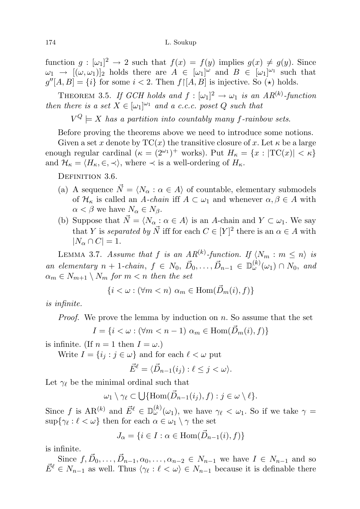function  $g: [\omega_1]^2 \to 2$  such that  $f(x) = f(y)$  implies  $g(x) \neq g(y)$ . Since  $\omega_1 \rightarrow [(\omega, \omega_1)]_2$  holds there are  $A \in [\omega_1]^{\omega}$  and  $B \in [\omega_1]^{\omega_1}$  such that  $g''[A, B] = \{i\}$  for some  $i < 2$ . Then  $f'[A, B]$  is injective. So  $(\star)$  holds.

THEOREM 3.5. If GCH holds and  $f : [\omega_1]^2 \to \omega_1$  is an  $AR^{(k)}$ -function then there is a set  $X \in [\omega_1]^{\omega_1}$  and a c.c.c. poset Q such that

 $V^Q \models X$  has a partition into countably many f-rainbow sets.

Before proving the theorems above we need to introduce some notions.

Given a set x denote by  $TC(x)$  the transitive closure of x. Let  $\kappa$  be a large enough regular cardinal  $(\kappa = (2^{\omega_1})^+$  works). Put  $H_{\kappa} = \{x : |TC(x)| < \kappa\}$ and  $\mathcal{H}_{\kappa} = \langle H_{\kappa}, \in, \prec \rangle$ , where  $\prec$  is a well-ordering of  $H_{\kappa}$ .

DEFINITION 3.6.

- (a) A sequence  $\vec{N} = \langle N_{\alpha} : \alpha \in A \rangle$  of countable, elementary submodels of  $\mathcal{H}_{\kappa}$  is called an A-chain iff  $A \subset \omega_1$  and whenever  $\alpha, \beta \in A$  with  $\alpha < \beta$  we have  $N_{\alpha} \in N_{\beta}$ .
- (b) Suppose that  $\vec{N} = \langle N_{\alpha} : \alpha \in A \rangle$  is an A-chain and  $Y \subset \omega_1$ . We say that Y is separated by  $\vec{N}$  iff for each  $C \in [Y]^2$  there is an  $\alpha \in A$  with  $|N_{\alpha} \cap C| = 1.$

LEMMA 3.7. Assume that f is an  $AR^{(k)}$ -function. If  $\langle N_m : m \leq n \rangle$  is an elementary  $n + 1$ -chain,  $f \in N_0, \vec{D}_0, \ldots, \vec{D}_{n-1} \in \mathbb{D}_{\omega}^{(k)}(\omega_1) \cap N_0$ , and  $\alpha_m \in N_{m+1} \setminus N_m$  for  $m < n$  then the set

$$
\{i < \omega : (\forall m < n) \ \alpha_m \in \text{Hom}(\vec{D}_m(i), f)\}
$$

is infinite.

Proof. We prove the lemma by induction on n. So assume that the set

$$
I = \{ i < \omega : (\forall m < n-1) \; \alpha_m \in \text{Hom}(\vec{D}_m(i), f) \}
$$

is infinite. (If  $n = 1$  then  $I = \omega$ .)

Write  $I = \{i_j : j \in \omega\}$  and for each  $\ell < \omega$  put

$$
\vec{E}^{\ell} = \langle \vec{D}_{n-1}(i_j) : \ell \leq j < \omega \rangle.
$$

Let  $\gamma_{\ell}$  be the minimal ordinal such that

$$
\omega_1 \setminus \gamma_\ell \subset \bigcup \{ \operatorname{Hom}(\vec{D}_{n-1}(i_j), f) : j \in \omega \setminus \ell \}.
$$

Since f is  $AR^{(k)}$  and  $\vec{E}^{\ell} \in \mathbb{D}_{\omega}^{(k)}(\omega_1)$ , we have  $\gamma_{\ell} < \omega_1$ . So if we take  $\gamma =$  $\sup\{\gamma_\ell : \ell < \omega\}$  then for each  $\alpha \in \omega_1 \setminus \gamma$  the set

$$
J_{\alpha} = \{ i \in I : \alpha \in \text{Hom}(\vec{D}_{n-1}(i), f) \}
$$

is infinite.

Since  $f, \vec{D}_0, \ldots, \vec{D}_{n-1}, \alpha_0, \ldots, \alpha_{n-2} \in N_{n-1}$  we have  $I \in N_{n-1}$  and so  $\vec{E}^{\ell} \in N_{n-1}$  as well. Thus  $\langle \gamma_{\ell} : \ell \langle \omega \rangle \in N_{n-1}$  because it is definable there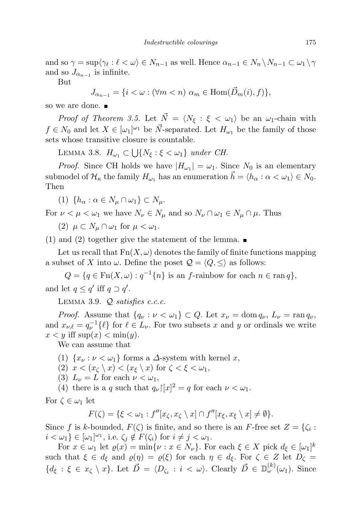and so  $\gamma = \sup \langle \gamma_{\ell} : \ell \langle \omega \rangle \in N_{n-1}$  as well. Hence  $\alpha_{n-1} \in N_n \setminus N_{n-1} \subset \omega_1 \setminus \gamma$ and so  $J_{\alpha_{n-1}}$  is infinite.

But

 $J_{\alpha_{n-1}} = \{i < \omega : (\forall m < n) \; \alpha_m \in \text{Hom}(\vec{D}_m(i), f)\},\$ 

so we are done.  $\blacksquare$ 

*Proof of Theorem 3.5.* Let  $\vec{N} = \langle N_{\xi} : \xi < \omega_1 \rangle$  be an  $\omega_1$ -chain with  $f \in N_0$  and let  $X \in [\omega_1]^{\omega_1}$  be  $\vec{N}$ -separated. Let  $H_{\omega_1}$  be the family of those sets whose transitive closure is countable.

LEMMA 3.8.  $H_{\omega_1} \subset \bigcup \{N_{\xi} : \xi < \omega_1\}$  under CH.

*Proof.* Since CH holds we have  $|H_{\omega_1}| = \omega_1$ . Since  $N_0$  is an elementary submodel of  $\mathcal{H}_{\kappa}$  the family  $H_{\omega_1}$  has an enumeration  $\vec{h} = \langle h_{\alpha} : \alpha < \omega_1 \rangle \in N_0$ . Then

(1)  $\{h_{\alpha} : \alpha \in N_{\mu} \cap \omega_1\} \subset N_{\mu}$ .

For  $\nu < \mu < \omega_1$  we have  $N_{\nu} \in N_{\mu}$  and so  $N_{\nu} \cap \omega_1 \in N_{\mu} \cap \mu$ . Thus

(2)  $\mu \subset N_{\mu} \cap \omega_1$  for  $\mu < \omega_1$ .

(1) and (2) together give the statement of the lemma.  $\blacksquare$ 

Let us recall that  $Fn(X, \omega)$  denotes the family of finite functions mapping a subset of X into  $\omega$ . Define the poset  $\mathcal{Q} = \langle Q, \leq \rangle$  as follows:

 $Q = \{q \in \operatorname{Fn}(X,\omega) : q^{-1}\{n\} \text{ is an } f\text{-rainbow for each } n \in \operatorname{ran} q\},\$ and let  $q \leq q'$  iff  $q \supset q'$ .

LEMMA 3.9.  $Q$  satisfies c.c.c.

*Proof.* Assume that  $\{q_{\nu} : \nu < \omega_1\} \subset Q$ . Let  $x_{\nu} = \text{dom } q_{\nu}$ ,  $L_{\nu} = \text{ran } q_{\nu}$ , and  $x_{\nu,\ell} = q_{\nu}^{-1}\{\ell\}$  for  $\ell \in L_{\nu}$ . For two subsets x and y or ordinals we write  $x < y$  iff sup $(x) < \min(y)$ .

We can assume that

- (1)  $\{x_\nu : \nu < \omega_1\}$  forms a  $\Delta$ -system with kernel x,
- (2)  $x < (x<sub>\zeta</sub> \setminus x) < (x<sub>\xi</sub> \setminus x)$  for  $\zeta < \xi < \omega_1$ ,
- (3)  $L_{\nu} = L$  for each  $\nu < \omega_1$ ,

(4) there is a q such that  $q_{\nu} |[x]^2 = q$  for each  $\nu < \omega_1$ .

For  $\zeta \in \omega_1$  let

$$
F(\zeta) = \{\xi < \omega_1 : f''[x_\zeta, x_\zeta \setminus x] \cap f''[x_\xi, x_\xi \setminus x] \neq \emptyset\}.
$$

Since f is k-bounded,  $F(\zeta)$  is finite, and so there is an F-free set  $Z = \{\zeta_i :$  $i < \omega_1$ }  $\in [\omega_1]^{\omega_1}$ , i.e.  $\zeta_j \notin F(\zeta_i)$  for  $i \neq j < \omega_1$ .

For  $x \in \omega_1$  let  $\varrho(x) = \min\{\nu : x \in N_{\nu}\}\)$ . For each  $\xi \in X$  pick  $d_{\xi} \in [\omega_1]^k$ such that  $\xi \in d_{\xi}$  and  $\varrho(\eta) = \varrho(\xi)$  for each  $\eta \in d_{\xi}$ . For  $\zeta \in Z$  let  $D_{\zeta} =$  ${d_{\xi} : \xi \in x_{\zeta} \setminus x}.$  Let  $\vec{D} = \langle D_{\zeta_i} : i \langle \omega \rangle$ . Clearly  $\vec{D} \in \mathbb{D}_{\omega}^{(k)}(\omega_1)$ . Since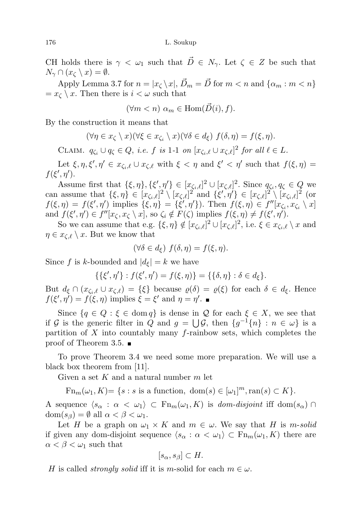CH holds there is  $\gamma < \omega_1$  such that  $\vec{D} \in N_{\gamma}$ . Let  $\zeta \in Z$  be such that  $N_{\gamma} \cap (x_{\zeta} \setminus x) = \emptyset.$ 

Apply Lemma 3.7 for  $n = |x_{\zeta} \setminus x|$ ,  $\vec{D}_m = \vec{D}$  for  $m < n$  and  $\{\alpha_m : m < n\}$  $=x_{\zeta} \setminus x$ . Then there is  $i < \omega$  such that

$$
(\forall m < n) \, \alpha_m \in \text{Hom}(\vec{D}(i), f).
$$

By the construction it means that

$$
(\forall \eta \in x_{\zeta} \setminus x)(\forall \xi \in x_{\zeta_i} \setminus x)(\forall \delta \in d_{\xi}) \ f(\delta, \eta) = f(\xi, \eta).
$$

CLAIM.  $q_{\zeta_i} \cup q_{\zeta} \in Q$ , i.e. f is 1-1 on  $[x_{\zeta_i,\ell} \cup x_{\zeta,\ell}]^2$  for all  $\ell \in L$ .

Let  $\xi, \eta, \xi', \eta' \in x_{\zeta_i, \ell} \cup x_{\zeta, \ell}$  with  $\xi < \eta$  and  $\xi' < \eta'$  such that  $f(\xi, \eta) =$  $f(\xi',\eta').$ 

Assume first that  $\{\xi, \eta\}, \{\xi', \eta'\}\in [x_{\zeta_i,\ell}]^2\cup [x_{\zeta,\ell}]^2$ . Since  $q_{\zeta_i}, q_{\zeta} \in Q$  we can assume that  $\{\xi, \eta\} \in [x_{\zeta_i,\ell}]^2 \setminus [x_{\zeta,\ell}]^2$  and  $\{\xi', \eta'\} \in [x_{\zeta,\ell}]^2 \setminus [x_{\zeta_i,\ell}]^2$  (or  $f(\xi, \eta) = f(\xi', \eta')$  implies  $\{\xi, \eta\} = \{\xi', \eta'\}\)$ . Then  $f(\xi, \eta) \in f''[x_{\zeta_i}, x_{\zeta_i} \setminus x]$ and  $f(\xi', \eta') \in f''[x_{\zeta}, x_{\zeta} \setminus x]$ , so  $\zeta_i \notin F(\zeta)$  implies  $f(\xi, \eta) \neq f(\xi', \eta')$ .

So we can assume that e.g.  $\{\xi, \eta\} \notin [x_{\zeta_i,\ell}]^2 \cup [x_{\zeta,\ell}]^2$ , i.e.  $\xi \in x_{\zeta_i,\ell} \setminus x$  and  $\eta \in x_{\zeta,\ell} \setminus x$ . But we know that

$$
(\forall \delta \in d_{\xi}) f(\delta, \eta) = f(\xi, \eta).
$$

Since f is k-bounded and  $|d_{\xi}| = k$  we have

$$
\{\{\xi',\eta'\}:f(\xi',\eta')=f(\xi,\eta)\}=\{\{\delta,\eta\}:\delta\in d_{\xi}\}.
$$

But  $d_{\xi} \cap (x_{\zeta_i,\ell} \cup x_{\zeta,\ell}) = {\xi}$  because  $\varrho(\delta) = \varrho(\xi)$  for each  $\delta \in d_{\xi}$ . Hence  $f(\xi', \eta') = f(\xi, \eta)$  implies  $\xi = \xi'$  and  $\eta = \eta'$ .

Since  $\{q \in Q : \xi \in \text{dom } q\}$  is dense in  $\mathcal Q$  for each  $\xi \in X$ , we see that if G is the generic filter in Q and  $g = \bigcup \mathcal{G}$ , then  $\{g^{-1}\{n\} : n \in \omega\}$  is a partition of  $X$  into countably many f-rainbow sets, which completes the proof of Theorem 3.5.

To prove Theorem 3.4 we need some more preparation. We will use a black box theorem from [11].

Given a set K and a natural number  $m$  let

 $\text{Fn}_m(\omega_1, K) = \{s : s \text{ is a function, } \text{dom}(s) \in [\omega_1]^m, \text{ran}(s) \subset K\}.$ 

A sequence  $\langle s_\alpha : \alpha < \omega_1 \rangle \subset \mathrm{Fn}_m(\omega_1, K)$  is dom-disjoint iff dom $(s_\alpha) \cap$  $dom(s_{\beta}) = \emptyset$  all  $\alpha < \beta < \omega_1$ .

Let H be a graph on  $\omega_1 \times K$  and  $m \in \omega$ . We say that H is m-solid if given any dom-disjoint sequence  $\langle s_\alpha : \alpha < \omega_1 \rangle \subset \mathrm{Fn}_m(\omega_1, K)$  there are  $\alpha < \beta < \omega_1$  such that

$$
[s_{\alpha}, s_{\beta}] \subset H.
$$

H is called *strongly solid* iff it is m-solid for each  $m \in \omega$ .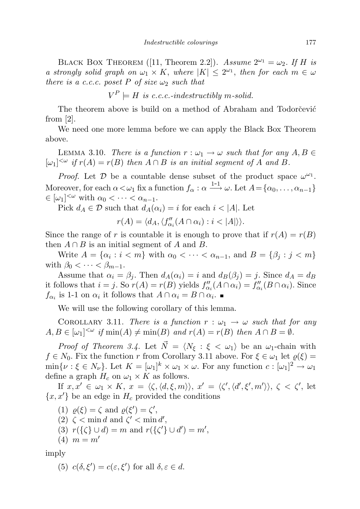BLACK BOX THEOREM ([11, Theorem 2.2]). Assume  $2^{\omega_1} = \omega_2$ . If H is a strongly solid graph on  $\omega_1 \times K$ , where  $|K| \leq 2^{\omega_1}$ , then for each  $m \in \omega$ there is a c.c.c. poset P of size  $\omega_2$  such that

$$
V^P \models H
$$
 is c.c.c.-indestructibly m-solid.

The theorem above is build on a method of Abraham and Todorcevic from  $|2|$ .

We need one more lemma before we can apply the Black Box Theorem above.

LEMMA 3.10. There is a function  $r : \omega_1 \to \omega$  such that for any  $A, B \in$  $[\omega_1]^{<\omega}$  if  $r(A) = r(B)$  then  $A \cap B$  is an initial segment of A and B.

*Proof.* Let  $\mathcal{D}$  be a countable dense subset of the product space  $\omega^{\omega_1}$ . Moreover, for each  $\alpha < \omega_1$  fix a function  $f_\alpha : \alpha \longrightarrow^{\hspace{0.5cm} 1-1} \omega$ . Let  $A = {\alpha_0, \ldots, \alpha_{n-1}}$  $\in [\omega_1]^{<\omega}$  with  $\alpha_0 < \cdots < \alpha_{n-1}$ .

Pick  $d_A \in \mathcal{D}$  such that  $d_A(\alpha_i) = i$  for each  $i < |A|$ . Let

 $r(A) = \langle d_A, \langle f''_{\alpha_i}(A \cap \alpha_i) : i < |A| \rangle \rangle.$ 

Since the range of r is countable it is enough to prove that if  $r(A) = r(B)$ then  $A \cap B$  is an initial segment of A and B.

Write  $A = \{\alpha_i : i < m\}$  with  $\alpha_0 < \cdots < \alpha_{n-1}$ , and  $B = \{\beta_j : j < m\}$ with  $\beta_0 < \cdots < \beta_{m-1}$ .

Assume that  $\alpha_i = \beta_j$ . Then  $d_A(\alpha_i) = i$  and  $d_B(\beta_j) = j$ . Since  $d_A = d_B$ it follows that  $i = j$ . So  $r(A) = r(B)$  yields  $f''_{\alpha_i}(A \cap \alpha_i) = f''_{\alpha_i}(B \cap \alpha_i)$ . Since  $f_{\alpha_i}$  is 1-1 on  $\alpha_i$  it follows that  $A \cap \alpha_i = B \cap \alpha_i$ .

We will use the following corollary of this lemma.

COROLLARY 3.11. There is a function  $r : \omega_1 \to \omega$  such that for any  $A, B \in [\omega_1]^{<\omega}$  if  $\min(A) \neq \min(B)$  and  $r(A) = r(B)$  then  $A \cap B = \emptyset$ .

*Proof of Theorem 3.4.* Let  $\vec{N} = \langle N_{\xi} : \xi < \omega_1 \rangle$  be an  $\omega_1$ -chain with  $f \in N_0$ . Fix the function r from Corollary 3.11 above. For  $\xi \in \omega_1$  let  $\varrho(\xi) =$  $\min\{\nu : \xi \in N_{\nu}\}\.$  Let  $K = [\omega_1]^k \times \omega_1 \times \omega$ . For any function  $c : [\omega_1]^2 \to \omega_1$ define a graph  $H_c$  on  $\omega_1 \times K$  as follows.

If  $x, x' \in \omega_1 \times K$ ,  $x = \langle \zeta, \langle d, \xi, m \rangle \rangle$ ,  $x' = \langle \zeta', \langle d', \xi', m' \rangle \rangle$ ,  $\zeta \langle \zeta', \xi' \rangle$  $\{x, x'\}$  be an edge in  $H_c$  provided the conditions

- (1)  $\varrho(\xi) = \zeta$  and  $\varrho(\xi') = \zeta'$ ,
- (2)  $\zeta$  < min d and  $\zeta'$  < min d',
- (3)  $r({\{\zeta\}} \cup d) = m$  and  $r({\{\zeta'\}} \cup d') = m'$ ,
- (4)  $m = m'$

imply

(5)  $c(\delta, \xi') = c(\varepsilon, \xi')$  for all  $\delta, \varepsilon \in d$ .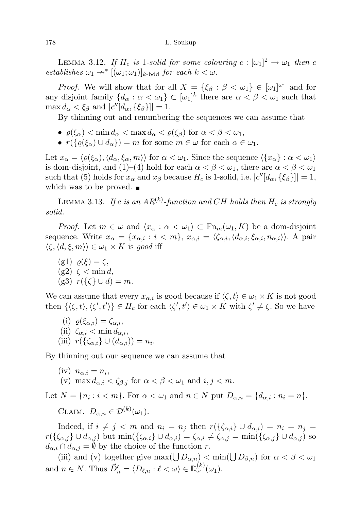LEMMA 3.12. If  $H_c$  is 1-solid for some colouring  $c : [\omega_1]^2 \to \omega_1$  then c establishes  $\omega_1 \rightarrow^* [(\omega_1; \omega_1)]_{k\text{-bdd}}$  for each  $k < \omega$ .

*Proof.* We will show that for all  $X = {\xi_{\beta} : \beta < \omega_1} \in [\omega_1]^{\omega_1}$  and for any disjoint family  $\{d_\alpha : \alpha < \omega_1\} \subset [\omega_1]^k$  there are  $\alpha < \beta < \omega_1$  such that  $\max d_{\alpha} < \xi_{\beta}$  and  $|c''[d_{\alpha}, {\xi_{\beta}}]| = 1.$ 

By thinning out and renumbering the sequences we can assume that

- $\varrho(\xi_{\alpha}) < \min d_{\alpha} < \max d_{\alpha} < \varrho(\xi_{\beta})$  for  $\alpha < \beta < \omega_1$ ,
- $r({\phi(\xi_{\alpha}) \cup d_{\alpha}}) = m$  for some  $m \in \omega$  for each  $\alpha \in \omega_1$ .

Let  $x_{\alpha} = \langle \varrho(\xi_{\alpha}), \langle d_{\alpha}, \xi_{\alpha}, m \rangle \rangle$  for  $\alpha < \omega_1$ . Since the sequence  $\langle \{x_{\alpha}\} : \alpha < \omega_1 \rangle$ is dom-disjoint, and (1)–(4) hold for each  $\alpha < \beta < \omega_1$ , there are  $\alpha < \beta < \omega_1$ such that (5) holds for  $x_{\alpha}$  and  $x_{\beta}$  because  $H_c$  is 1-solid, i.e.  $|c''[d_{\alpha}, {\xi_{\beta}}]| = 1$ , which was to be proved.  $\blacksquare$ 

LEMMA 3.13. If c is an  $AR^{(k)}$ -function and CH holds then  $H_c$  is strongly solid.

*Proof.* Let  $m \in \omega$  and  $\langle x_{\alpha} : \alpha < \omega_1 \rangle \subset \mathrm{Fn}_m(\omega_1, K)$  be a dom-disjoint sequence. Write  $x_{\alpha} = \{x_{\alpha,i} : i < m\}$ ,  $x_{\alpha,i} = \langle \zeta_{\alpha,i}, \langle d_{\alpha,i}, \xi_{\alpha,i}, n_{\alpha,i} \rangle \rangle$ . A pair  $\langle \zeta, \langle d, \xi, m \rangle \rangle \in \omega_1 \times K$  is good iff

(g1)  $\rho(\xi) = \zeta$ ,  $(g2) \leq \min d$ , (g3)  $r(\lbrace \zeta \rbrace \cup d) = m$ .

We can assume that every  $x_{\alpha,i}$  is good because if  $\langle \zeta, t \rangle \in \omega_1 \times K$  is not good then  $\{\langle \zeta, t \rangle, \langle \zeta', t' \rangle\} \in H_c$  for each  $\langle \zeta', t' \rangle \in \omega_1 \times K$  with  $\zeta' \neq \zeta$ . So we have

(i)  $\rho(\xi_{\alpha,i}) = \zeta_{\alpha,i}$ , (ii)  $\zeta_{\alpha,i} < \min d_{\alpha,i}$ , (iii)  $r(\{\zeta_{\alpha,i}\}\cup(d_{\alpha,i}))=n_i.$ 

By thinning out our sequence we can assume that

(iv) 
$$
n_{\alpha,i} = n_i
$$
,  
(v) max  $d_{\alpha,i} < \zeta_{\beta,j}$  for  $\alpha < \beta < \omega_1$  and  $i, j < m$ .

Let  $N = \{n_i : i < m\}$ . For  $\alpha < \omega_1$  and  $n \in N$  put  $D_{\alpha,n} = \{d_{\alpha,i} : n_i = n\}$ .

CLAIM.  $D_{\alpha,n} \in \mathcal{D}^{(k)}(\omega_1)$ .

Indeed, if  $i \neq j < m$  and  $n_i = n_j$  then  $r(\{\zeta_{\alpha,i}\}\cup d_{\alpha,i}) = n_i = n_j =$  $r(\{\zeta_{\alpha,j}\}\cup d_{\alpha,j})$  but  $\min(\{\zeta_{\alpha,i}\}\cup d_{\alpha,i})=\zeta_{\alpha,i}\neq \zeta_{\alpha,j}=\min(\{\zeta_{\alpha,i}\}\cup d_{\alpha,j})$  so  $d_{\alpha,i} \cap d_{\alpha,j} = \emptyset$  by the choice of the function r.

(iii) and (v) together give  $\max(\bigcup D_{\alpha,n}) < \min(\bigcup D_{\beta,n})$  for  $\alpha < \beta < \omega_1$ and  $n \in N$ . Thus  $\vec{D}'_n = \langle D_{\ell,n} : \ell < \omega \rangle \in \mathbb{D}_{\omega}^{(k)}(\omega_1)$ .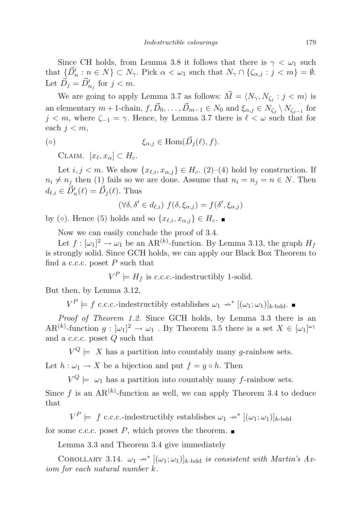Since CH holds, from Lemma 3.8 it follows that there is  $\gamma < \omega_1$  such that  $\{\vec{D}'_n : n \in N\} \subset N_\gamma$ . Pick  $\alpha < \omega_1$  such that  $N_\gamma \cap {\{\zeta_{\alpha,j} : j < m\}} = \emptyset$ . Let  $\vec{D}_j = \vec{D}'_{n_j}$  for  $j < m$ .

We are going to apply Lemma 3.7 as follows:  $\vec{M} = \langle N_{\gamma}, N_{\zeta_j} : j < m \rangle$  is an elementary  $m+1$ -chain,  $f, \vec{D}_0, \ldots, \vec{D}_{m-1} \in N_0$  and  $\xi_{\alpha,j} \in N_{\zeta_j} \setminus N_{\zeta_{j-1}}$  for  $j < m$ , where  $\zeta_{-1} = \gamma$ . Hence, by Lemma 3.7 there is  $\ell < \omega$  such that for each  $j < m$ ,

$$
\xi_{\alpha,j} \in \text{Hom}(\vec{D}_j(\ell), f).
$$

CLAIM.  $[x_{\ell}, x_{\alpha}] \subset H_c$ .

Let  $i, j < m$ . We show  $\{x_{\ell,i}, x_{\alpha,j}\} \in H_c$ . (2)–(4) hold by construction. If  $n_i \neq n_j$  then (1) fails so we are done. Assume that  $n_i = n_j = n \in N$ . Then  $d_{\ell,i} \in \vec{D}'_n(\ell) = \vec{D}_j(\ell)$ . Thus

$$
(\forall \delta, \delta' \in d_{\ell,i}) \ f(\delta, \xi_{\alpha,j}) = f(\delta', \xi_{\alpha,j})
$$

by ( $\circ$ ). Hence (5) holds and so  $\{x_{\ell,i}, x_{\alpha,j}\} \in H_c$ .

Now we can easily conclude the proof of 3.4.

Let  $f : [\omega_1]^2 \to \omega_1$  be an AR<sup>(k)</sup>-function. By Lemma 3.13, the graph  $H_f$ is strongly solid. Since GCH holds, we can apply our Black Box Theorem to find a c.c.c. poset  $P$  such that

 $V^P \models H_f$  is c.c.c.-indestructibly 1-solid.

But then, by Lemma 3.12,

 $V^P \models f \text{ c.c.c.-indestructibly establishes } \omega_1 \nrightarrow^* [(\omega_1; \omega_1)]_{k\text{-bdd}}.$ 

Proof of Theorem 1.2. Since GCH holds, by Lemma 3.3 there is an AR<sup>(k)</sup>-function  $g: [\omega_1]^2 \to \omega_1$ . By Theorem 3.5 there is a set  $X \in [\omega_1]^{\omega_1}$ and a c.c.c. poset Q such that

 $V^{Q} \models X$  has a partition into countably many g-rainbow sets. Let  $h: \omega_1 \to X$  be a bijection and put  $f = g \circ h$ . Then

 $V^{Q} \models \omega_1$  has a partition into countably many f-rainbow sets.

Since f is an  $AR^{(k)}$ -function as well, we can apply Theorem 3.4 to deduce that

 $V^P \models f \text{ c.c.c.-indestructibly establishes } \omega_1 \rightarrow^* [(\omega_1; \omega_1)]_{k \text{-bdd}}$ 

for some c.c.c. poset  $P$ , which proves the theorem.

Lemma 3.3 and Theorem 3.4 give immediately

COROLLARY 3.14.  $\omega_1 \rightarrow^* [(\omega_1; \omega_1)]_{k-bdd}$  is consistent with Martin's Axiom for each natural number k.